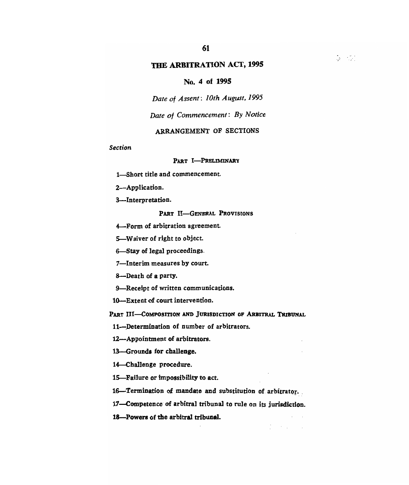**61** 

## **No. 4 of 1995**

*Date of Assent: 10th August, 1995* 

*Date of Commencement: By Notice* 

#### ARRANGEMENT OF SECTIONS

*Section* 

#### PART **I-PRELIMINARY**

1—Short title and commencement.

2—Application.

3—Interpretation.

PART II-GENERAL PROVISIONS

**4—Form of arbitration** agreement.

5—Waiver of right to object.

6—Stay of legal proceedings.

7—Interim measures by court.

8—Death of a party.

9—Receipt of written communications.

10—Extent of court intervention.

**PART** III—COMPOSITION **AND JURISDICTION OF ARBITRAL TRIBUNAL** 

11—Determination of number of arbitrators.

12—Appointment of arbitrators.

13—Grounds for **challenge.** 

14—Challenge procedure.

15—Failure or impossibility to act.

16—Termination of mandate and substitution of arbitrator.

17—Competence of arbitral tribunal to rule on its jurisdiction.

 $\mathcal{E} = \{ \mathcal{E}_1, \ldots, \mathcal{E}_n \}$ 

**18—Powers** of the arbitral tribunal.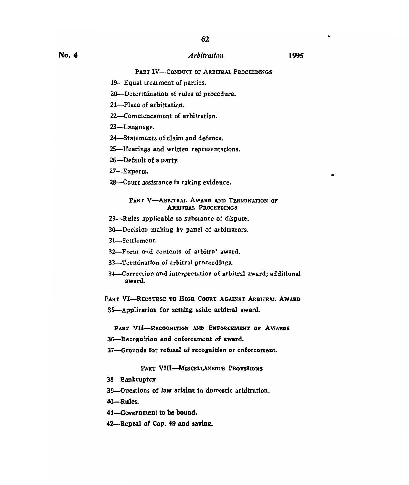**PART IV-CONDUCT OF ARBITRAL PROCEEDINGS** 

- 19—Equal treatment of parties.
- 20—Determination of rules of procedure.
- 21—Place of arbitration.
- 22—Commencement of arbitration.
- 23—Language.
- 24—Statements of claim and defence.
- 25—Hearings and written representations.
- 26—Default of a party.
- 27—Experts.
- 28—Court assistance in taking evidence.

#### PART V-ARBITRAL AWARD AND TERMINATION OF **ARBITRAL** PROCEEDINGS

- 29—Rules applicable to substance of dispute.
- 30—Decision making by panel of arbitrators.
- 31—Settlement.
- 32—Form and contents of arbitral award.
- 33—Termination of arbitral proceedings.
- 34—Correction and interpretation of arbitral award; additional award.

PART VI-RECOURSE TO HIGH COURT AGAINST ARBITRAL AWARD 35—Application for setting aside arbitral award.

PART VII-RECOGNITION AND ENFORCEMENT OF AWARDS

- 36—Recognition and enforcement of award.
- 37—Grounds for refusal of recognition or enforcement.

#### PART VIII-MISCELLANEOUS PROVISIONS

- 38—Bankruptcy.
- 39—Questions of law arising in domestic arbitration.
- 40—Rules.
- 41—Government to be bound.
- 42—Repeal of Cap. 49 and saving.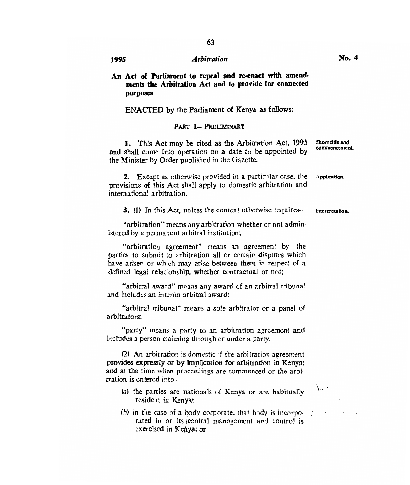**63** 

#### **ENACTED by the Parliament of Kenya as follows:**

#### **PART I—PRELIMINARY**

1. This Act may be cited as the Arbitration Act, 1995 and shall come into operation on a date to be appointed by the Minister by Order published in the Gazette. **Short title and commencement.** 

2. Except as otherwise provided in a particular case, the **Application.**  provisions of this Act shall apply to domestic arbitration and intemationa". arbitration.

3. (1) In this Act, unless the context otherwise requires— **Interpretation.** 

"arbitration" means any arbitration whether or not administered by a permanent arbitral institution;

"arbitration agreement" means an agreement by the parties to submit to arbitration all or certain disputes which have arisen or which may arise between them in respect of a defined legal relationship, whether contractual or not;

"arbitral award" means any award of an arbitral tribuna' and includes an interim arbitral award;

"arbitral tribunal" means a sole arbitrator or a panel of arbitrators;

"party" means a party to an arbitration agreement and includes a person claiming through or under a party.

(2) An arbitration is domestic if the arbitration agreement **provides expressly or by implication for arbitration in Kenya:**  and at the time when proceedings are commenced or the arbitration is entered into—

(a) the parties are nationals of Kenya or are habitually resident in Kenya;

(b) in the case of a body corporate, that body is incorporated in or its /central management and control is exercised **in Kenya; or**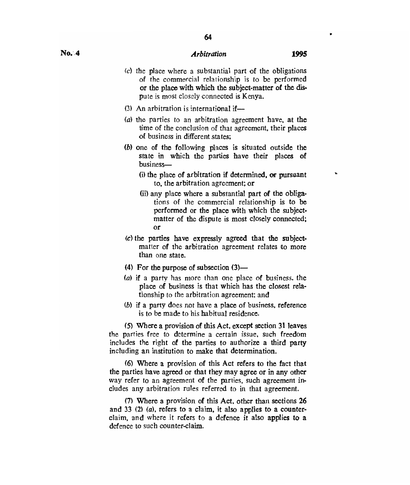- *(c)* the place where a substantial part of the obligations of the commercial relationship is to be performed or the place with which the subject -matter of the dispute is most closely connected is Kenya.
- (3) An arbitration is international if—
- *(a)* the parties to an arbitration agreement have, at the time of the conclusion of that agreement, their places of business in different states;
- *(b)* one of the following places is situated outside the state in which the parties have their places of business-
	- $(i)$  the place of arbitration if determined, or pursuant to, the arbitration agreement; or
	- (ii) any place where a substantial part of the obligations of the commercial relationship is to be performed or the place with which the subjectmatter of the dispute is most closely connected; or
- *(c)* the parties have expressly agreed that the subjectmatter of the arbitration agreement relates to more than one state.
- (4) For the purpose of subsection  $(3)$ —
- (a) if a party has more than one place of business, the place of business is that which has the closest relationship to the arbitration agreement; and
- (b) if a party does not have a place of business, reference is to be made to his habitual residence.

(5) Where a provision of this Act, except section 31 leaves the parties free to determine a certain issue, such freedom includes the right of the parties to authorize *a* third party including an institution to make that determination.

(6) Where a provision of this Act refers to the fact that the parties have agreed or that they may agree or in any other way refer to an agreement of the parties, such agreement includes any arbitration rules referred to in that agreement.

(7) Where a provision of this Act, other than sections 26 and 33 (2) (a), refers to a claim, it also applies to a counterclaim, and where it refers to a defence it also applies to a defence to such counter-claim.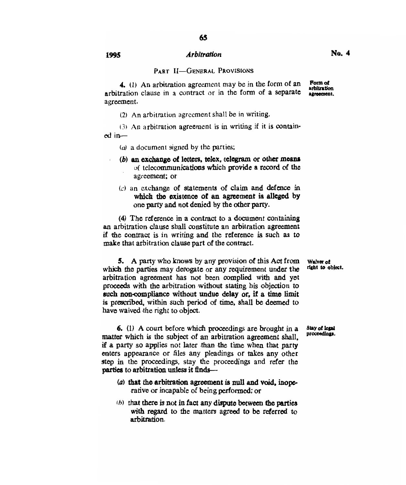**4.** (1) An arbitration agreement may be in the form of an arbitration clause in a contract or in the form of a separate agreement. **Form of arbitration agreement.** 

(2) An arbitration agreement shall be in writing.

(3) An arbitration agreement is in writing if it is contained in-

- $(a)$  a document signed by the parties;
- *(b)* **an exchange of letters, telex, telegram or other means of** telecommunications **which provide a** record of the agreement; or
- *(a)* an exchange of statements of claim and defence in which the existence of an agreement is alleged by one party and not denied by the other party.

(4)The reference in a contract to a document containing an arbitration clause shall constitute an arbitration agreement if the contract is in writing and the reference is such as to make that arbitration clause part of the contract.

**5.** A party who knows by any provision of this Act from **Waiver of h** the narties may deporate or any requirement under the **right** to object. which the parties may derogate or any requirement under the arbitration agreement has not been complied with and yet proceeds with the arbitration without stating his objection to such non-compliance without undue delay or, if a time limit **is prescribed, within such period of time, shall be deemed to have waived the right to object.** 

**6. (1) A** court before which proceedings are brought in a matter which is the subject of an arbitration agreement shall, if a party so applies not later than the time when that party enters appearance or files any pleadings or takes any other step in the proceedings, stay the proceedings and refer the **parties to arbitration unless it finds—** 

- **(a) that the arbitration agreement is null and void, inoperative** or incapable of being performed; or
- *h I* that there **is not in fact any dispute between the parties with regard to the matters agreed to be referred to arbitration.**

**Stay of legal proceedings.** 

**No. 4**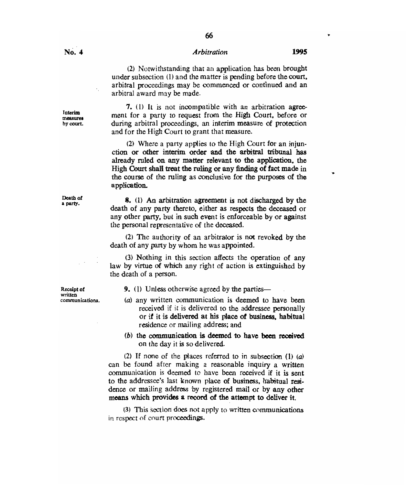66

(2) Notwithstanding that an application has been brought under subsection (1) and the matter is pending before the court. arbitral proceedings may be commenced or continued and an arbitral award may be made.

7. (1) It is not incompatible with an arbitration agreement for a party to request from the High Court, before or during arbitral proceedings, an interim measure of protection and for the High Court to grant that measure.

(2) Where a party applies to the High Court for an injunction or other interim order and the arbitral tribunal has already ruled on any matter relevant to the application, the High Court shall treat the ruling or any finding of fact made in the course of the ruling as conclusive for the purposes of the application.

8. (1) An arbitration agreement is not discharged by the death of any party thereto, either as respects the deceased or any other party, but in such event is enforceable by or against the personal representative of the deceased.

(2) The authority of an arbitrator is not revoked by the death of any party by whom he was appointed.

(3) Nothing in this section affects the operation of any law by virtue of Which any right of action is extinguished by the death of a person.

**Receipt of 9.** (1) Unless otherwise agreed by the parties—

(a) any written communication is deemed to have been received if it is delivered to the addressee personally or if it **is delivered at his place of business, habitual**  residence or mailing address; and

*(b)* **the communication is deemed to have been received**  on the day it is so delivered.

(2) If none of the places referred to in subsection **(1)** (a) can be found after making a reasonable inquiry a written communication is deemed to have been received if it is sent to the addressee's last known place of business, habitual residence or mailing address by registered mail or by any other **means which provides a record of the attempt to deliver it.** 

(3) This section does not apply to written communications in respect of court proceedings.

**written** 

**Interim measures by court.** 

**Death of a party.**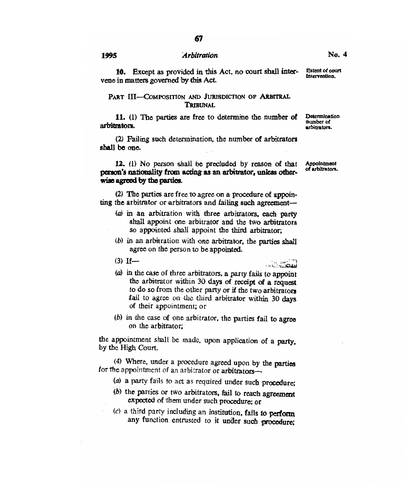67

10. Except as provided in this Act, no court shall intervene in matters governed by this Act.

### PART III-COMPOSITION AND JURISDICTION OF ARBITRAL **TRIBUNAL**

11. (1) *The* parties are free to determine the number of arbitrators.

(2) Failing such determination, the number of arbitrators shall be one.

12. (1) No person shall be precluded by reason of that **person's nationality from acting as an arbitrator, unless otherwise agreed by the parties.** 

**(2) The** parties are free to agree on a procedure of appointing the arbitrator or arbitrators and failing such agreement—

- (a) in an arbitration with three arbitrators, each party shall appoint one arbitrator and the two arbitrators so appointed shall appoint the third arbitrator;
- $(b)$  in an arbitration with one arbitrator, the parties shall agree on the person to be appointed.
- $(3)$  If—

(a) in the case of three arbitrators, a party fails to appoint the arbitrator within 30 days of receipt of a request to do so from the other party or if the two arbitrators fail to agree on the third arbitrator within 30 days of their appointment; or

 $(b)$  in the case of one arbitrator, the parties fail to agree on the arbitrator;

the appointment shall be made, upon application of a party, by the High Court.

(4) Where, under a procedure agreed upon by the parties for the appointment of an arbitrator or arbitrators—

- (a) a party fails to act as required under such **procedure;**
- $(b)$  the parties or two arbitrators, fail to reach agreement expected of them under such procedure; or
- (c) a third party including an institution, fails **to perform any function entrusted** to it **under such procedure;**

**Appointment** of arbitrators.

د د د د د د د د د د

Extent of court

**No. 4** 

Intervention.

**Determination** number of arbitrators.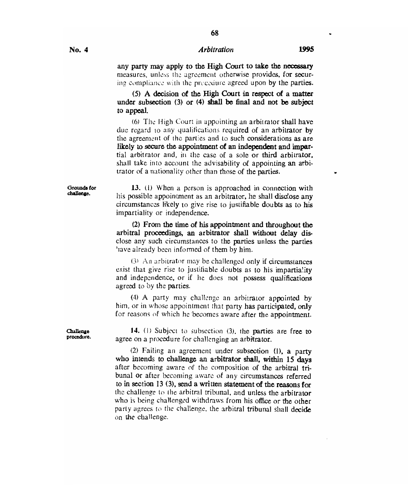**68** 

any party may apply to the High Court to take the necessary measures, unless the agreement otherwise provides, for securing compliance with the procedure agreed upon by the parties.

(5) A decision of the High Court in respect of a matter under subsection (3) or (4) shall be final and not be subject to appeal.

(6) The High Court in appointing an arbitrator shall have due regard to any qualifications required of an arbitrator by the agreement of the parties and to such considerations as are likely to secure the appointment of an independent and impartial arbitrator and, in the case of a sole or third arbitrator. shall take into account the advisability of appointing an arbitrator of a nationality other than those of the parties.

13. (1) When a person is approached in connection with his possible appointment as an arbitrator, he shall disclose any circumstances likely to give rise to justifiable doubts as to his impartiality or independence.

(2) From the time of his appointment and throughout the arbitral proceedings, an arbitrator shall without delay disclose any such circumstances to the parties unless the parties `lave already been informed of them by him.

13) An arbitrator may be challenged only if circumstances exist that give rise to justifiable doubts as to his impartiality and independence, or if he does not possess qualifications agreed to by the parties.

(4) A party may challenge an arbitrator appointed by him, or in whose appointment that party has participated, only for reasons of which he becomes aware after the appointment.

14. (I) Subject to subsection (3), the parties are free to agree on a procedure for challenging an arbitrator.

(2) Failing an agreement under subsection (1), a party who intends to challenge an arbitrator shall, within 15 days after becoming aware of the composition of the arbitral tribunal or after becoming aware of any circumstances referred to in section 13 (3), send a written statement of the reasons for the challenge to the arbitral tribunal, and unless the arbitrator who is being challenged withdraws from his office or the other party agrees to the challenge, the arbitral tribunal shall decide on *the* challenge.

Challenge procedure.

Grounds for challenge.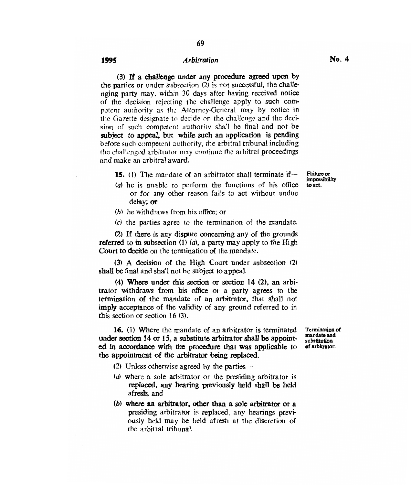(3) If a challenge under any procedure agreed upon by the parties or under subsection (2) is not successful, the challenging party may, within 30 days after having received notice of the decision rejecting the challenge apply to such competent authority as the Attorney-General may by notice in the Gazette designate to *decide on the* challenge and the decision of such competent authority shall be final and not be subject to appeal, but while such an application is pending before such competent authority, the arbitral tribunal including the challenged arbitrator may continue the arbitral proceedings and make an arbitral award.

15. (1) The mandate of an arbitrator shall terminate if—

(a) he is unable to perform the functions of his office or for any other reason fails to act without undue delay; or

- (b) he withdraws from his office: or
- (c) the parties agree to the termination of the mandate.

(2) If there is any dispute concerning any of the grounds referred to in subsection  $(1)$   $(a)$ , a party may apply to the High Court to decide on the termination of the mandate.

(3) A decision of the High Court under subsection (2) shall be final and shall not be subject to appeal.

(4) Where under this section or section 14 (2), an arbitrator withdraws from his office or a party agrees to the termination of the mandate of an arbitrator, that shall not imply acceptance of the validity of any ground referred to in this section or section 16 (3).

16. (1) Where the mandate of an arbitrator is terminated under section 14 or 15, a substitute arbitrator shall be appointed in accordance with the procedure that *was* applicable to the appointment of the arbitrator being replaced.

Termination of mandate and substitution of arbitrator.

Failure or impossibility to act.

- (2) Unless otherwise agreed by the parties—
- (a) where a sole arbitrator or the presiding arbitrator is replaced, any hearing previously held shall be held afresh: and
- (b) where an arbitrator, other than a sole arbitrator or a presiding arbitrator is replaced, any hearings previously held may be held afresh at the discretion of the arbitral tribunal.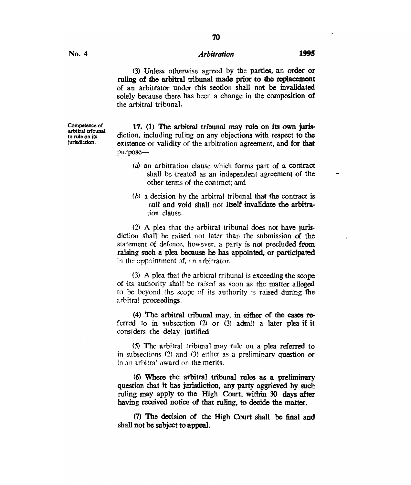**70** 

(3) Unless otherwise agreed by the patties, an order or ruling of the arbitral tribunal made prior to the replacement of an arbitrator under this section shall not be invalidated solely because there has been a change in the composition of the arbitral tribunal.

**17.** (1) The arbitral tribunal may rule on its own jurisdiction, including ruling on any objections with respect to the existence or validity of the arbitration agreement, and for that purpose—

- *(a)* an arbitration clause which forms part of a contract shall be treated as an independent agreement of the other terms of the contract; and
- *(h)* a decision by the arbitral tribunal that the contract is null and void shall not itself invalidate the arbitration clause.

(2) A plea that the arbitral tribunal does not have jurisdiction shall be raised not later than the submission of the statement of defence, however, a party is not precluded from raising such a plea because he has appointed, or participated in the appointment of, an arbitrator.

(3) A plea that the arbitral tribunal is exceeding the scope of its authority shall be raised as soon as the matter alleged to be beyond the scope of its authority is raised during the arbitral proceedings.

(4) The arbitral tribunal may, in either of the cases referred to in subsection (2) or (3) admit a later plea if it considers the delay justified.

(5) The arbitral tribunal may rule on a plea referred to in subsections  $(2)$  and  $(3)$  either as a preliminary question or in an arbitra' award on the merits.

(6) Where the arbitral tribunal rules as a preliminary question that it has jurisdiction, any party aggrieved by such ruling may apply to the High Court, within 30 days after having received notice of that ruling, to decide the matter.

(7) The decision of the High Court shall be final and shall not be subject to appeal.

Competence of arbitral tribunal to rule on its iurisdiction.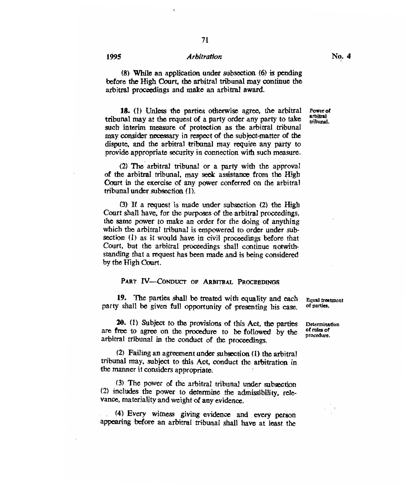71

(8) While an application under subsection (6) is pending before the High Court, the arbitral tribunal may continue the arbitral proceedings and make an arbitral award.

18. (1) Unless the parties otherwise agree, the arbitral tribunal may at the request of a party order any party to take such interim measure of protection as the arbitral tribunal may consider necessary in respect of the subject-matter of the dispute, and the arbitral tribunal may require any party to provide appropriate security in connection with such measure.

(2) The arbitral tribunal or a party with the approval of the arbitral tribunal, may seek assistance from the High Court in the exercise of any power conferred on the arbitral tribunal under subsection (1).

(3) If a request is made under subsection (2) the High Court shall have, for the purposes of the arbitral proceedings, the same power to make an order for the doing of anything which the arbitral tribunal is empowered to order under subsection (1) as it would have in civil proceedings before that Court, but the arbitral proceedings shall continue notwithstanding that a request has been made and is being considered by the High Court.

#### PART IV-CONDUCT OF ARBITRAL PROCEEDINGS

**19.** The parties shall be treated with equality and each party shall be given full opportunity of presenting his case.

**20.** (1) Subject to the provisions of this Act, the parties are free to agree on the procedure to be followed by the arbitral tribunal in the conduct of the proceedings.

(2) Failing an agreement under subsection (1) the arbitral tribunal may, subject to this Act, conduct the arbitration in the manner it considers appropriate.

(3) The power of the arbitral tribunal under subsection (2) includes the power to determine the admissibility, relevance, materiality and weight of any evidence.

(4) Every witness giving evidence and every person appearing before an arbitral tribunal shall have at least the equal treatment

Determination oeterminan<br>Australia of rules of<br>procedure.

Power of arbitral tribunal.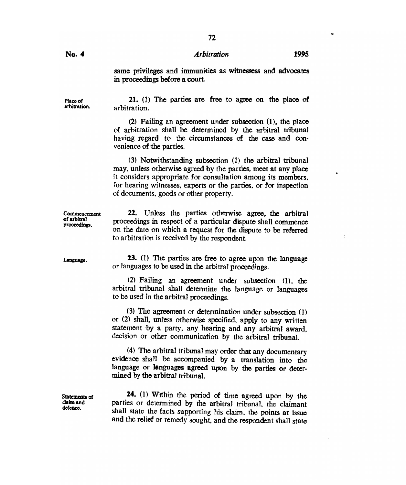same privileges and immunities as witnessess and advocates in proceedings before a court.

**arbitration.**  21. (1) The parties are free to agree on the place of arbitration.

> (2) Failing an agreement under subsection (1), the place of arbitration shall be determined by the arbitral tribunal having regard to the circumstances of the case and convenience of the parties.

> (3) Notwithstanding subsection (1) the arbitral tribunal may, unless otherwise agreed by the parties, meet at any place it considers appropriate for consultation among its members, for hearing witnesses, experts or the parties, or for inspection of documents, goods or other property.

**Commencement of arbitral proceedings. 22.** Unless the parties otherwise agree, the arbitral proceedings in respect of a particular dispute shall commence on the date on which a request for the dispute to be referred to arbitration is received by the respondent.

> **23. (1) The** parties are free to agree upon the language or languages to be used in the arbitral proceedings.

> (2) Failing an agreement under subsection (1). the arbitral tribunal shall determine the language or languages to be used in the arbitral proceedings.

> (3) The agreement or determination under subsection (1) or (2) shall, unless otherwise specified, apply to any written statement by a party, any hearing and any arbitral award, decision or other communication by the arbitral tribunal.

> (4) The arbitral tribunal may order that any documentary evidence shall be accompanied by a translation into the language or languages agreed upon by the parties or determined by the arbitral tribunal.

> 24. (1) Within the period of time agreed upon by the parties or determined by the arbitral tribunal, the claimant shall state the facts supporting his claim, the points at issue and the relief or remedy sought, and the respondent shall state

**Place of** 

**Language.** 

**Statements of claim and defence.**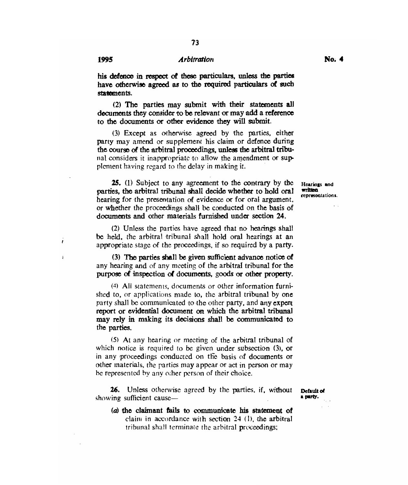ï

 $\overline{1}$ 

# 1995 *Arbitration* No. 4

his defence in respect of these particulars, unless the parties have otherwise agreed as to the required particulars of such statements.

(2) The parties may submit with their statements all documents they consider to be relevant or may add a reference to the documents or other evidence they will submit.

(3) Except as otherwise agreed by the parties, either party may amend or supplement his claim or defence during the course of the arbitral proceedings, unless the arbitral tribunal considers it inappropriate to allow the amendment or supplement having regard to the delay in making it.

**25. (1)** Subject to any agreement to the contrary by the parties, the arbitral tribunal shall decide whether to hold oral hearing for the presentation of evidence or for oral argument, or whether the proceedings shall be conducted on the basis of documents and other materials furnished under section 24.

(2) Unless the parties have agreed that no hearings shall be held, the arbitral tribunal shall hold oral hearings at an appropriate stage of the proceedings, if so required by a party.

(3) The parties shall be given sufficient advance notice of any hearing and of any meeting of the arbitral tribunal for the purpose of inspection of documents, goods or other property.

(4) All statements, documents or other information furnished to, or applications made to, the arbitral tribunal by one party shall be communicated to the other party, and any expert report or evidential document on which the arbitral tribunal may rely in making its decisions shall be communicated to the parties.

(5) At any hearing or meeting of the arbitral tribunal of which notice is required to be given under subsection (3), or in any proceedings conducted on the basis of documents or other materials, the parties may appear or act in person or may be represented by any other person of their choice.

**26.** Unless otherwise agreed by the parties, if, without **Default of a party.**<br>
showing sufficient cause—

**(a) the claimant fails to communicate his statement of**  claim in accordance with section 24 *(1),* the arbitral tribunal shall terminate the arbitral proceedings;

**Hearings and written representations.**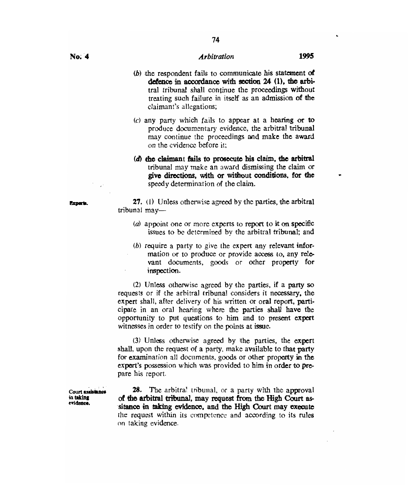**74** 

- (b) the respondent fails to communicate his statement **of defence in accordance with section 24 (1), the arbi**tral tribunal shall continue the proceedings without treating such failure in itself as an admission of the claimant's allegations;
- (c) any party which fails to appear at a hearing or to produce documentary evidence, the arbitral tribunal may continue the proceedings and make the award on the evidence before it;
- *(d)* the claimant fails to prosecute his claim, the arbitral tribunal may make an award dismissing the claim or **give directions, with or without conditions, for the**  speedy determination of the claim.

**27.** (1) Unless otherwise agreed by the parties, the arbitral tribunal may—

- (a) appoint one or more experts to report to it on specific issues to be determined by the arbitral tribunal; and
- (b) require a party to give the expert any relevant information or to produce or provide access to, any relevant documents, goods or other property for inspection.

(2) Unless otherwise agreed by the parties, if a party so requests or if the arbitral tribunal considers it necessary, the expert shall, after delivery of his written or oral report, participate in an oral hearing where the parties shall have the opportunity to put questions to him and to present expert witnesses in order to testify on the points at issue.

(3) Unless otherwise agreed by the parties, the expert shall, upon the request of a party, make available to that party for examination all documents, goods or other property in the expert's possession which was provided to him in order to prepare his report.

**28.** The arbitral tribunal, or a party with the approval **of the arbitral tribunal, may request from the High Court assitance in taking evidence, and the High Court may execute**  the request within its competence and according to its rules on taking evidence.

Experts.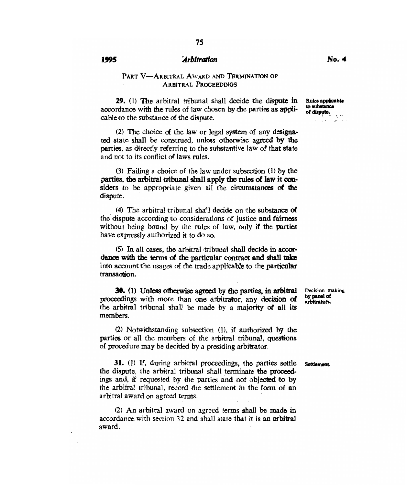#### PART V—ARBITRAL AWARD AND TERMINATION OF ARBITRAL PROCEEDINGS

29. (1) The arbitral tribunal shall decide the **dispute** in accordance with the rules of law chosen by the parties as applicable to the substance of the dispute.

(2) The choice of the law or legal system of any designated state shall be construed, unless otherwise **agreed by the parties,** as direefly referring to the substantive law of that state and not to its conflict of laws rules.

(3) Failing a choice of the law under subsection (1) by **the parties, the arbitral tribunal shall apply the rules of law it considers** to be appropriate given all the circumstances of the dispute.

(4) The arbitral tribunal shall decide on the substance of the dispute according **to** considerations of justice and fairness without being bound by the rules of law, only if the parties have expressly authorized it to do so.

(5) In **all oases, the arbitral tribunal shall decide in accordance with the terms of the particular contract and shall take into** account the usages of the trade applicable to the **particular transaction.** 

30. **(1) Unless otherwise agreed by the parties, in arbitral proceedings with more** than **one arbitrator, any decision of the arbitral tribunal** shall be made by a **majority of all its members.** 

(2) Notwithstanding subsection (1), if authorized by the parties or all the members of the arbitral tribunal. questions of procedure may be decided by a presiding arbitrator.

Settlement.

Decision making by panel of arbitrators.

31. (1) **If, during arbitral proceedings, the parties settle the dispute, the arbitral tribunal** shall **terminate the proceedings** and, if requested by the parties and not objected to by the arbitra! tribunal, record the settlement in the form of an arbitral award on agreed terms.

(2) An arbitral award on agreed terms shall be made in accordance with section 32 and shall state that it is an arbitral award.

Rules applicable to substance of disputa.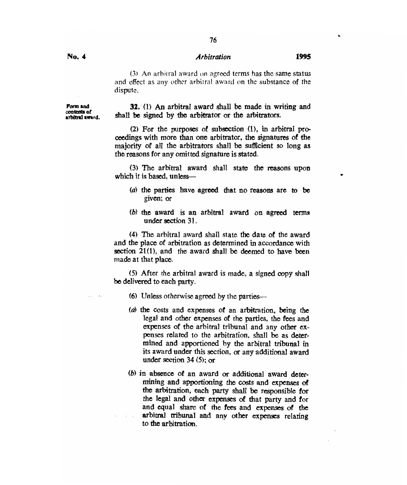76

(3) An arhitral award on agreed terms has the same status and effect as any other arbitral award on the substance of the dispute.

**Form and contents of**  arbitral award.

#### **32.** (1) An arbitral award shall be made in writing and shall be signed by the arbitrator or the arbitrators.

(2) For the purposes of subsection (1), in arbitral proceedings with more than one arbitrator, the signatures of the majority of all the arbitrators shall be sufficient so long as the reasons for any omitted signature is stated.

(3) The arbitral award shall state the reasons upon which it is based, unless—

- (a) the parties have agreed that no reasons are to be given; or
- (b) the award is an arbitral award on agreed terms under section 31.

(4) The arbitral award shall state the date of the award and the place of arbitration as determined in accordance with section 21(1), and the award shall be deemed to have been made at that place.

(5) After the arbitral award is made, a signed copy shall be delivered to each party.

- (6) Unless otherwise agreed by the parties—
- (a) the costs and expenses of an arbitration, being the legal and other expenses of the parties, the fees and expenses of the arbitral tribunal and any other expenses related to the arbitration, shall be as determined and apportioned by the arbitral tribunal in its award under this section, or any additional award under section 34 (5); or
- (b) in absence of an award or additional award determining and apportioning the costs and expenses of the arbitration, each party shall be responsible for the legal and other expenses of that party and for and equal share of the fees and expenses of the arbitral tribunal and any other expenses relating to the arbitration.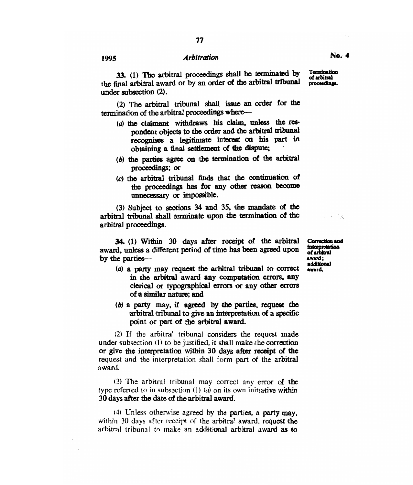**33. (1) The** arbitral proceedings shall be terminated by the final arbitral award or by an order of the arbitral tribunal under subsection (2).

(2) The arbitral tribunal shall issue an order for the termination of the arbitral proceedings where—

- (a) the claimant withdraws his claim, unless the respondent objects to the order and the arbitral tribunal recognises a legitimate interest on his part in obtaining a final settlement of the dispute;
- (b) the parties agree on the termination of the arbitral proceedings; or
- (c) the arbitral tribunal finds that the continuation of the proceedings has for any other reason become unnecessary or impossible.

(3) Subject to sections 34 and 35. the mandate of the arbitral tribunal shall terminate upon the termination of the arbitral proceedings.

34. (1) Within 30 days after receipt of the arbitral **Canadian and**  award, unless a different period of time has been agreed upon of **unerpre**<br>by the parties by the parties—

- (a) a party may request the arbitral tribunal to correct **award.** in the arbitral award any computation errors. any clerical or typographical errors or any other errors of a similar nature; and
- (b) a party may, if agreed by the parties, request the arbitral tribunal to give an interpretation of a specific point or part of the arbitral award.

(2) If the arbitrai tribunal considers the request made under subsection (I) to be justified, it shall make the correction or give the interpretation within 30 days after receipt of the request and the interpretation shall form part of the arbitral award.

(3) The arbitral tribunal may correct any error of the type referred to in subsection (1) *(a)* on its own initiative within 30 days after the date of the arbitral award.

(4) Unless otherwise agreed by the parties, a party may. within 30 days after receipt of the arbitra! award, request the arbitral tribunal to make an additional arbitral award as to

**Interpretation**  of arbitral **ditional ad** 

**Taradnation of arbitral**  proceedings.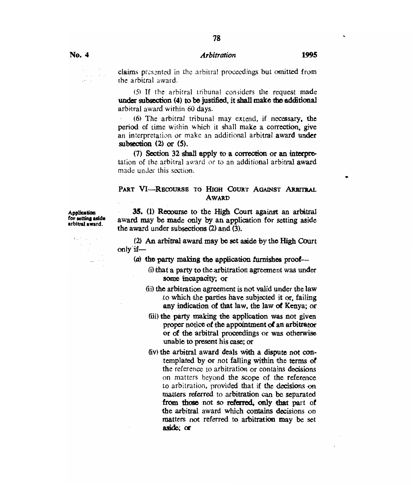78

claims presented in the arbitral proceedings but omitted from the arbitral award.

(5) If the arbitral tribunal considers the request made under subsection (4) to be justified, it shall make the additional arbitral award within 60 days.

(6) The arbitral tribunal may extend, if necessary, *the*  period of time within which it shall make a correction, give an interpretation or make an additional arbitral award under subsection (2) or (5).

(7) Section 32 shall apply to a correction or an interpretation of the arbitral award or to an additional arbitral award made under this section.

#### **PART VI—RECOURSE TO HIGH COURT AGAINST ARBITRAL AWARD**

**Application**<br>for setting aside *for* **setting aside arbitral award.** 

 $\mathbf{r}_{\mathrm{in}} \approx \mathbf{r}_{\mathrm{in}}$ 

**35. (1).** Recourse to the High Court against an arbitral award may be made only by an application for setting aside the award under subsections (2) and (3).

(2) An arbitral award may be set aside by the High Court only if—

 $(a)$  the party making the application furnishes proof-

- (i) that a party to the arbitration agreement was under some incapacity; or
- (ii) the arbitration agreement is not valid under the law to which the parties have subjected it or, failing any indication of that law, the law of Kenya; or
- (iii) the party making the application was not given proper notice of the appointment **of** an arbitrator or of the arbitral proceedings or was otherwise unable to present his case; or
- (iv) the arbitral award deals with a dispute not contemplated by or not falling within the terms of the reference to arbitration or contains decisions on matters beyond the scope of the reference to arbitration, provided that if the decisions on matters referred to arbitration can be separated **from those** not so **referred, only that** part of the arbitral award which contains decisions on matters not referred to arbitration may be set **aside;** or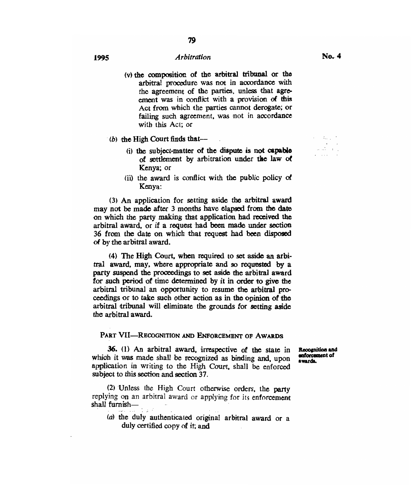- (v) the composition of the arbitral tribunal or the arbitral procedure was not in accordance with the agreement of the parties, unless that agreement was in conflict with a provision of this Act from which the parties cannot derogate; or failing such agreement, was not in accordance with this Act; or
- *(b)* the High Court finds that-
	- 6) the **subject-matter of the dispute is not capable of settlement by arbitration under the law of Kenya; or**
	- (ii) the **award** is conflict with the public **policy of Kenya:**

**(3) An application for setting aside the arbitral award may not be made after 3 months have elapsed from the date on which the party making that application had received the arbitral award, or if a request had been made under section 36 from the date on which that request had been disposed of by the arbitral award.** 

**(4) The High Court, when required to set aside an arbitral award, may, where appropriate and so requested by a party suspend the proceedings to set aside the arbitral award for such period of time determined by it in order to give the arbitral tribunal an opportunity to resume the arbitral proceedings or to take such other action as in the opinion of the arbitral tribunal** will **eliminate the grounds for setting aside**  the **arbitral award.** 

#### **PART WI—RECOGNITION AND ENFORCEMENT OF AWARDS**

*36. (1)* **An arbitral award,** irrespective of the state in which it was made shall be recognized as binding and, upon application in writing to the High Court, shall be enforced subject to this section **and section 37.** 

(2) Unless the High Court otherwise orders, the party replying on an arbitral award or applying for its enforcement shall furnish—

(a) the duly authenticated original arbitral award or a duly certified copy of it; and

**It000gnition and onforannont of awards.** 

 $\alpha$  ,  $\beta$  ,  $\beta$  ,  $\beta$  ,  $\beta$ ر<br>راء المالي . . . .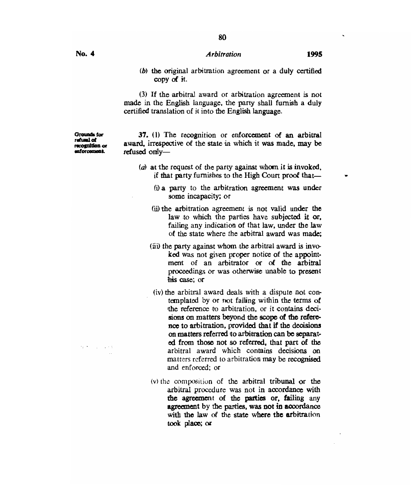**80** 

- 
- *(b) the* original arbitration agreement or a duly certified copy of it.

(3) If the arbitral award or arbitration agreement is not made in the English language, the party shall furnish a duly certified translation of it into the English language.

**errands for ritual et nation or eitorameal.** 

**37. (1)** The recognition or enforcement of an arbitral award, irrespective of the state in which it was made, may be refused only—

- (a) at the request of the party against whom it is invoked, if that party furnishes to the High Court proof that-
	- (i)a party to the arbitration agreement was under some incapacity; or
	- (ii) the arbitration agreement is not valid under the law to which the parties have subjected it or, failing any indication of that law, under the law of the state where the arbitral award was made;
	- (iii) the party against whom the arbitral award is invoked was not given proper notice of the appointment of an arbitrator or of the arbitral proceedings or was otherwise unable to present his case; or
		- (iv) the arbitral award deals with a dispute not contemplated by or not falling within the terms of the reference to arbitration, or it contains decisions **on matters beyond the scope of the reference to arbitration, provided that if the decisions on matters referred to arbitration can be separated from those not so referred, that part of the**  arbitral award which contains decisions on matters referred to arbitration may be recognised and enforced; or
	- (v)the composition of the arbitral tribunal **or the**  arbitral procedure was not in accordance with **the agreement of the pasties or, failing** any **agreement by the parties, was not in accordance with the law of the state where the arbitration took place; or**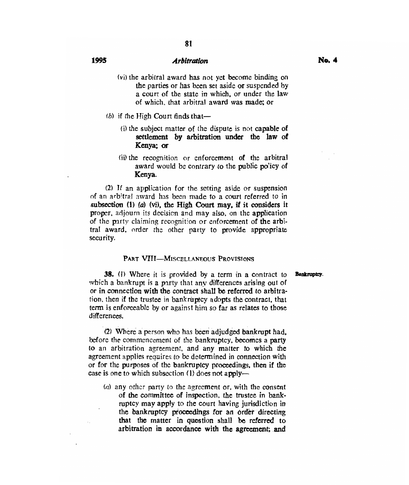- (vi) the arbitral award has not yet become binding on the parties or has been set aside or suspended by a court of the state in which, or under the law of which, that arbitral award was made; or
- (b) if the High Court finds that-
	- (i) the subject matter of the dispute is not capable of settlement by arbitration under the law of Kenya; or
	- (ii) the recognition or enforcement of the arbitral award would be contrary to the public po'icy of Kenya.

(2) If an application for the setting aside or suspension of an arbitral award has been made to a court referred to in subsection **(1)** (a) (vi), the High Court may, if it considers it proper, adjourn its decision and may also, on the application of the party claiming recognition or enforcement of the arbitral award, order the other party to provide appropriate security.

#### PART VIII—MISCELLANEOUS PROVISIONS

**38.** (1) Where it is provided by a term in a contract to **Bankruptcy**. which a bankrupt is a party that any differences arising out of or in connection with the contract shall be referred to arbitration, then if the trustee in bankruptcy adopts the contract, that term is enforceable by or against him so far as relates to those differences.

(2) Where a person who has been adjudged bankrupt had, before the commencement of the bankruptcy, becomes a party to an arbitration agreement, and any matter to which the agreement applies requires to be determined in connection with or for the purposes of the bankruptcy proceedings, then if the case is one to which subsection (1) does not apply—

*(a)* any other party to the agreement or, with the consent of the committee of inspection, the trustee in bankruptcy may apply to the court having jurisdiction in the bankruptcy proceedings for an order directing that the matter in question shall be referred to arbitration in accordance with the agreement; and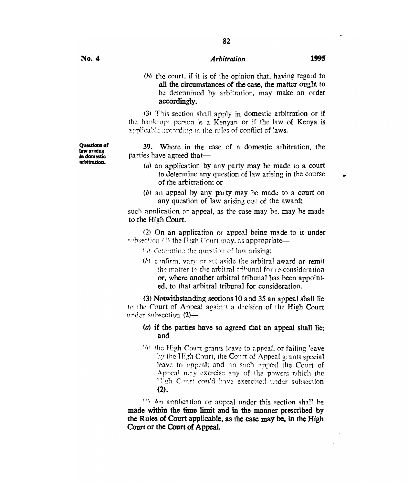### *(b)* the court, if it is of the opinion that, having regard to all the circumstances of the case, the matter ought to be determined by arbitration, may make an order accordingly.

(3) This section shall apply in domestic arbitration or if the bankrupt person is a Kenyan or if the law of Kenya is applicable acourding to the rules of conflict of laws.

39. Where in the case of a domestic arbitration, the parties have agreed that—

- $(a)$  an application by any party may be made to a court to determine any question of law arising in the course of the arbitration; or
- (b) an appeal by any party may be made to a court on any question of law arising out of the award;

such application or appeal, as the case may be, may be made to the High Court.

(2) On an application or appeal being made to it under subsection (1) the High Court may, as appropriate-

- $\langle s \rangle$  determine the question of law arising:
- *(b)* confirm. vary or set aside the arbitral award or remit the matter to the arbitral tribunal for re-consideration or, where another arbitral tribunal has been appointed, to that arbitral tribunal for consideration.

(3) Notwithstanding sections 10 and 35 an appeal shall lie to the Court of Appeal again t a decision of the High Court tinder subsection (2)—

#### (a) if the parties have so agreed that an appeal shall lie; and

 $(b)$  the High Court grants leave to appeal, or failing 'eave by the High Court, the Court of Appeal grants special leave to appeal; and on such appeal the Court of Appea! may exercise any of the powers which the Ugh Curt ccytt'd have exercised under subsection **(2).** 

*<sup>11</sup> ) An* application or appeal under this section shall he **made within the time limit and in the manner prescribed by the Rules of Court applicable, as the case may be, in the High Court or the Court of Appeal.** 

**Questions of law arising in domestic arbitration.**